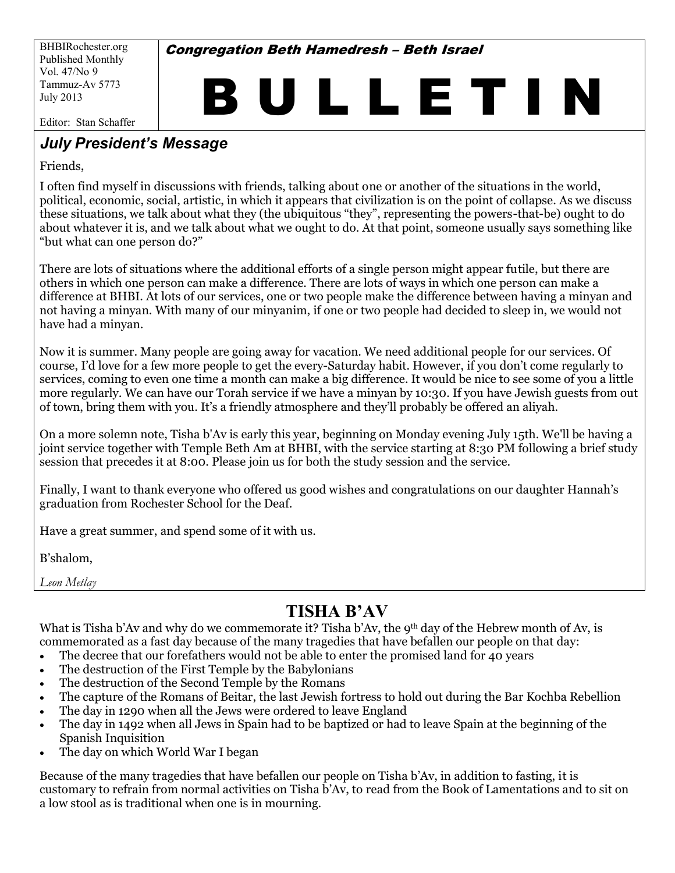BHBIRochester.org Published Monthly Vol. 47/No 9 Tammuz-Av 5773 July 2013

**Congregation Beth Hamedresh - Beth Israel** 

# B U L L E T I N

Editor: Stan Schaffer

#### *July President's Message*

Friends,

I often find myself in discussions with friends, talking about one or another of the situations in the world, political, economic, social, artistic, in which it appears that civilization is on the point of collapse. As we discuss these situations, we talk about what they (the ubiquitous "they", representing the powers-that-be) ought to do about whatever it is, and we talk about what we ought to do. At that point, someone usually says something like "but what can one person do?"

There are lots of situations where the additional efforts of a single person might appear futile, but there are others in which one person can make a difference. There are lots of ways in which one person can make a difference at BHBI. At lots of our services, one or two people make the difference between having a minyan and not) having a minyan. With many of our minyanim, if one or two people had decided to sleep in, we would not have had a minyan.

Now it is summer. Many people are going away for vacation. We need additional people for our services. Of course, I'd love for a few more people to get the every-Saturday habit. However, if you don't come regularly to services, coming to even one time a month can make a big difference. It would be nice to see some of you a little more regularly. We can have our Torah service if we have a minyan by 10:30. If you have Jewish guests from out of town, bring them with you. It's a friendly atmosphere and they'll probably be offered an aliyah.

On a more solemn note, Tisha b'Av is early this year, beginning on Monday evening July 15th. We'll be having a joint service together with Temple Beth Am at BHBI, with the service starting at 8:30 PM following a brief study session that precedes it at  $8:00$ . Please join us for both the study session and the service.

Finally, I want to thank everyone who offered us good wishes and congratulations on our daughter Hannah's graduation from Rochester School for the Deaf.

Have a great summer, and spend some of it with us.

B'shalom,

*Leon Metlay* Ï

## *TISHA B'AV*

What is Tisha b'Av and why do we commemorate it? Tisha b'Av, the 9<sup>th</sup> day of the Hebrew month of Av, is commemorated as a fast day because of the many tragedies that have befallen our people on that day:

- The decree that our forefathers would not be able to enter the promised land for 40 years
- $\bullet$  The destruction of the First Temple by the Babylonians
- The destruction of the Second Temple by the Romans
- The capture of the Romans of Beitar, the last Jewish fortress to hold out during the Bar Kochba Rebellion
- The day in 1290 when all the Jews were ordered to leave England
- The day in 1492 when all Jews in Spain had to be baptized or had to leave Spain at the beginning of the Spanish)Inquisition
- The day on which World War I began

Because of the many tragedies that have befallen our people on Tisha b'Av, in addition to fasting, it is customary to refrain from normal activities on Tisha b'Av, to read from the Book of Lamentations and to sit on a low stool as is traditional when one is in mourning.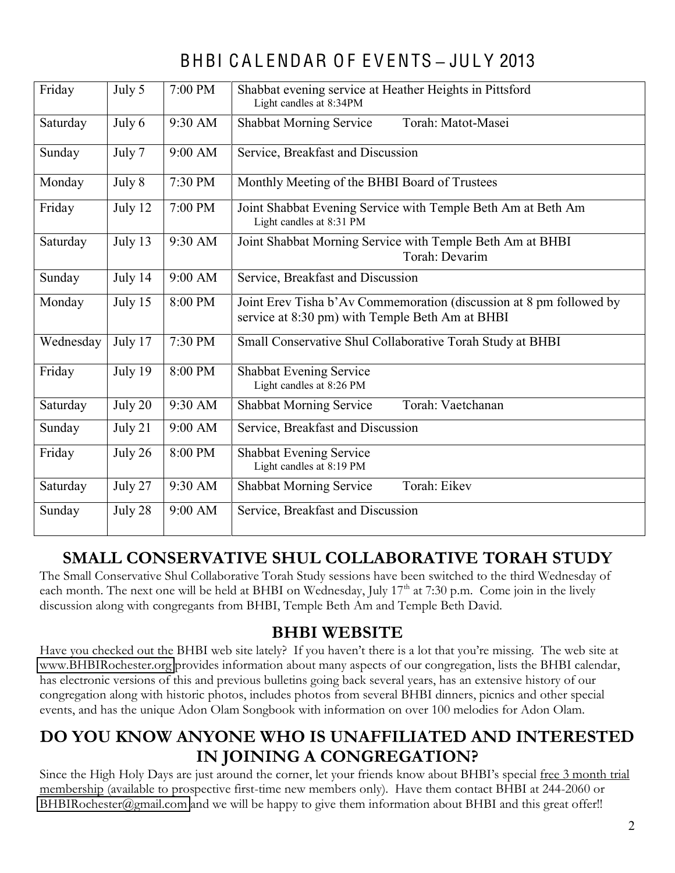# BHBI C A L ENDAR O F E V ENTS **±** JUL Y 2013

| Friday    | July 5  | 7:00 PM | Shabbat evening service at Heather Heights in Pittsford<br>Light candles at 8:34PM                                     |  |  |  |  |  |
|-----------|---------|---------|------------------------------------------------------------------------------------------------------------------------|--|--|--|--|--|
| Saturday  | July 6  | 9:30 AM | Torah: Matot-Masei<br><b>Shabbat Morning Service</b>                                                                   |  |  |  |  |  |
| Sunday    | July 7  | 9:00 AM | Service, Breakfast and Discussion                                                                                      |  |  |  |  |  |
| Monday    | July 8  | 7:30 PM | Monthly Meeting of the BHBI Board of Trustees                                                                          |  |  |  |  |  |
| Friday    | July 12 | 7:00 PM | Joint Shabbat Evening Service with Temple Beth Am at Beth Am<br>Light candles at 8:31 PM                               |  |  |  |  |  |
| Saturday  | July 13 | 9:30 AM | Joint Shabbat Morning Service with Temple Beth Am at BHBI<br>Torah: Devarim                                            |  |  |  |  |  |
| Sunday    | July 14 | 9:00 AM | Service, Breakfast and Discussion                                                                                      |  |  |  |  |  |
| Monday    | July 15 | 8:00 PM | Joint Erev Tisha b'Av Commemoration (discussion at 8 pm followed by<br>service at 8:30 pm) with Temple Beth Am at BHBI |  |  |  |  |  |
| Wednesday | July 17 | 7:30 PM | Small Conservative Shul Collaborative Torah Study at BHBI                                                              |  |  |  |  |  |
| Friday    | July 19 | 8:00 PM | Shabbat Evening Service<br>Light candles at 8:26 PM                                                                    |  |  |  |  |  |
| Saturday  | July 20 | 9:30 AM | Torah: Vaetchanan<br><b>Shabbat Morning Service</b>                                                                    |  |  |  |  |  |
| Sunday    | July 21 | 9:00 AM | Service, Breakfast and Discussion                                                                                      |  |  |  |  |  |
| Friday    | July 26 | 8:00 PM | <b>Shabbat Evening Service</b><br>Light candles at 8:19 PM                                                             |  |  |  |  |  |
| Saturday  | July 27 | 9:30 AM | Torah: Eikev<br>Shabbat Morning Service                                                                                |  |  |  |  |  |
| Sunday    | July 28 | 9:00 AM | Service, Breakfast and Discussion                                                                                      |  |  |  |  |  |

#### **SMALL CONSERVATIVE SHUL COLLABORATIVE TORAH STUDY**

The Small Conservative Shul Collaborative Torah Study sessions have been switched to the third Wednesday of each month. The next one will be held at BHBI on Wednesday, July  $17<sup>th</sup>$  at 7:30 p.m. Come join in the lively discussion along with congregants from BHBI, Temple Beth Am and Temple Beth David.

#### **BHBI WEBSITE**

Have you checked out the BHBI web site lately? If you haven't there is a lot that you're missing. The web site at [www.BHBIRochester.org](http://www.bhbirochester.org/) provides information about many aspects of our congregation, lists the BHBI calendar, has electronic versions of this and previous bulletins going back several years, has an extensive history of our congregation along with historic photos, includes photos from several BHBI dinners, picnics and other special events, and has the unique Adon Olam Songbook with information on over 100 melodies for Adon Olam.

#### **DO YOU KNOW ANYONE WHO IS UNAFFILIATED AND INTERESTED IN JOINING A CONGREGATION?**

Since the High Holy Days are just around the corner, let your friends know about BHBI's special free 3 month trial membership (available to prospective first-time new members only). Have them contact BHBI at 244-2060 or [BHBIRochester@gmail.com](mailto:BHBIRochester@gmail.com) and we will be happy to give them information about BHBI and this great offer!!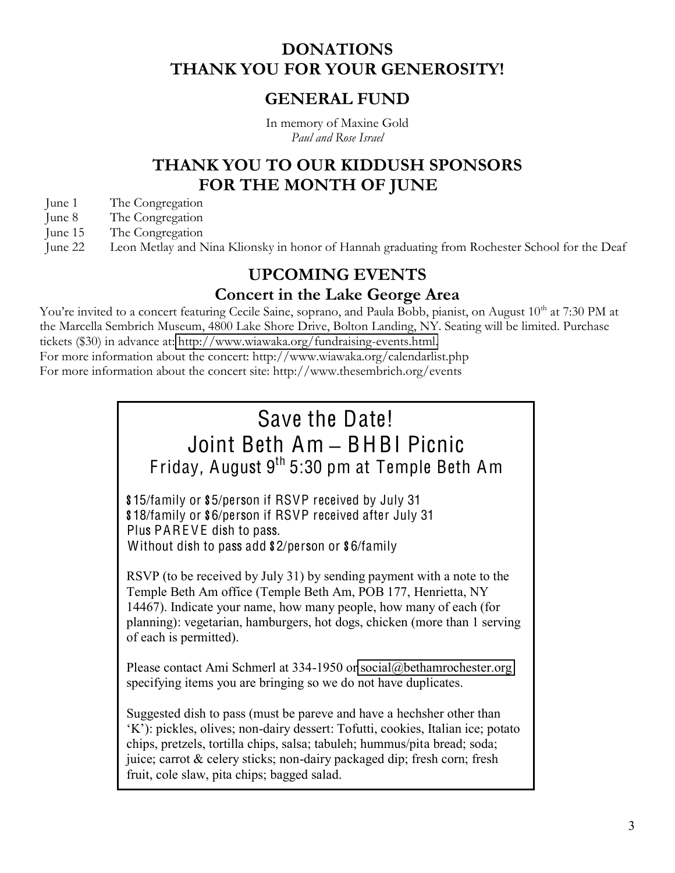#### **DONATIONS THANK YOU FOR YOUR GENEROSITY!**

#### **GENERAL FUND**

In memory of Maxine Gold *Paul and Rose Israel*

#### **THANK YOU TO OUR KIDDUSH SPONSORS FOR THE MONTH OF JUNE**

- June 1 The Congregation
- June 8 The Congregation
- June 15 The Congregation
- June 22 Leon Metlay and Nina Klionsky in honor of Hannah graduating from Rochester School for the Deaf

#### **UPCOMING EVENTS**

#### **Concert in the Lake George Area**

You're invited to a concert featuring Cecile Saine, soprano, and Paula Bobb, pianist, on August 10<sup>th</sup> at 7:30 PM at the Marcella Sembrich Museum, 4800 Lake Shore Drive, Bolton Landing, NY. Seating will be limited. Purchase tickets (\$30) in advance at: [http://www.wiawaka.org/fundraising-events.html.](http://www.wiawaka.org/fundraising-events.html) For more information about the concert: http://www.wiawaka.org/calendarlist.php

For more information about the concert site: http://www.thesembrich.org/events

# Save the Date! Joint Beth Am **±** BHBI Picnic Friday, August  $9<sup>th</sup> 5:30$  pm at Temple Beth Am

\$15/family or \$5/person if RSVP received by July 31 \$18/family or \$6/person if RSVP received after July 31 Plus PAREVE dish to pass. Without dish to pass add \$2/person or \$6/family

RSVP (to be received by July 31) by sending payment with a note to the Temple Beth Am office (Temple Beth Am, POB 177, Henrietta, NY 14467). Indicate your name, how many people, how many of each (for planning): vegetarian, hamburgers, hot dogs, chicken (more than 1 serving of each is permitted).

Please contact Ami Schmerl at 334-1950 or [social@bethamrochester.org](mailto:social@bethamrochester.org) specifying items you are bringing so we do not have duplicates.

Suggested dish to pass (must be pareve and have a hechsher other than  $(K')$ : pickles, olives; non-dairy dessert: Tofutti, cookies, Italian ice; potato chips, pretzels, tortilla chips, salsa; tabuleh; hummus/pita bread; soda; juice; carrot & celery sticks; non-dairy packaged dip; fresh corn; fresh fruit, cole slaw, pita chips; bagged salad.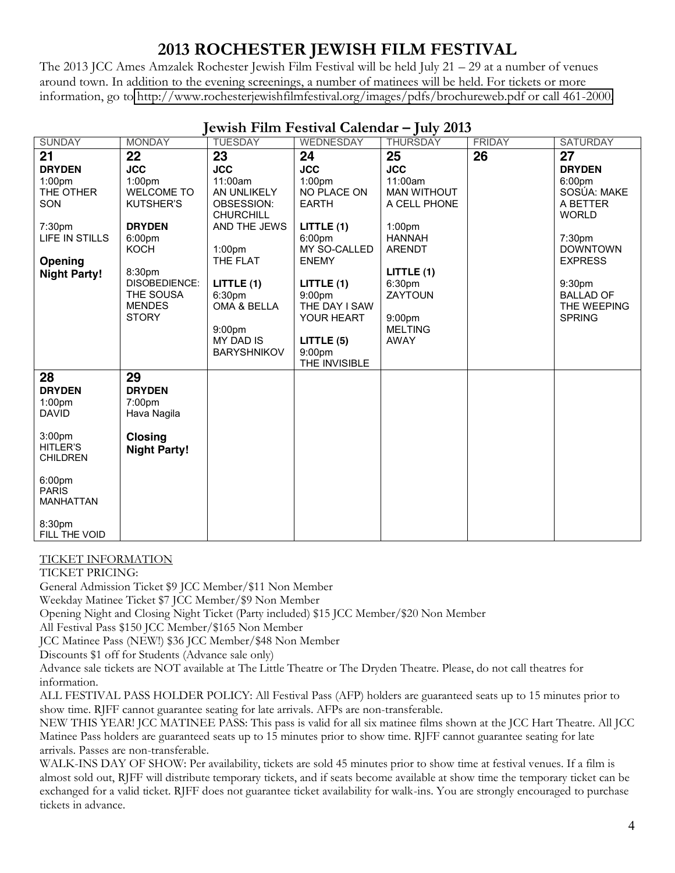## **2013 ROCHESTER JEWISH FILM FESTIVAL**

The 2013 JCC Ames Amzalek Rochester Jewish Film Festival will be held July  $21 - 29$  at a number of venues around town. In addition to the evening screenings, a number of matinees will be held. For tickets or more information, go to [http://www.rochesterjewishfilmfestival.org/images/pdfs/brochureweb.pdf or call 461-2000.](http://www.rochesterjewishfilmfestival.org/images/pdfs/brochureweb.pdf%20or%20call%20461-2000)

| <b>SUNDAY</b>                                             | <b>MONDAY</b>                                                      | $J$ $\sim$ $\cdots$ $\sim$ $\sim$ $\sim$ $\sim$<br><b>TUESDAY</b>                                  | WEDNESDAY                                                                                          | $J^{(1)}$ $\rightarrow$ $\rightarrow$ $\rightarrow$<br><b>THURSDAY</b>          | <b>FRIDAY</b> | <b>SATURDAY</b>                                               |
|-----------------------------------------------------------|--------------------------------------------------------------------|----------------------------------------------------------------------------------------------------|----------------------------------------------------------------------------------------------------|---------------------------------------------------------------------------------|---------------|---------------------------------------------------------------|
| 21                                                        | 22                                                                 | 23                                                                                                 | 24                                                                                                 | 25                                                                              | 26            | 27                                                            |
| <b>DRYDEN</b>                                             | <b>JCC</b>                                                         | <b>JCC</b>                                                                                         | <b>JCC</b>                                                                                         | <b>JCC</b>                                                                      |               | <b>DRYDEN</b>                                                 |
| 1:00pm<br>THE OTHER<br><b>SON</b>                         | 1:00 <sub>pm</sub><br><b>WELCOME TO</b><br><b>KUTSHER'S</b>        | 11:00am<br>AN UNLIKELY<br>OBSESSION:<br><b>CHURCHILL</b>                                           | 1:00 <sub>pm</sub><br>NO PLACE ON<br><b>EARTH</b>                                                  | 11:00am<br><b>MAN WITHOUT</b><br>A CELL PHONE                                   |               | 6:00 <sub>pm</sub><br>SOSÚA: MAKE<br>A BETTER<br><b>WORLD</b> |
| 7:30pm                                                    | <b>DRYDEN</b>                                                      | AND THE JEWS                                                                                       | LITTLE $(1)$                                                                                       | 1:00 <sub>pm</sub>                                                              |               |                                                               |
| LIFE IN STILLS                                            | 6:00pm<br><b>KOCH</b>                                              |                                                                                                    | 6:00pm<br>MY SO-CALLED                                                                             | <b>HANNAH</b><br><b>ARENDT</b>                                                  |               | 7:30pm<br><b>DOWNTOWN</b>                                     |
| Opening                                                   |                                                                    | 1:00 <sub>pm</sub><br>THE FLAT                                                                     | <b>ENEMY</b>                                                                                       |                                                                                 |               | <b>EXPRESS</b>                                                |
| <b>Night Party!</b>                                       | 8:30pm                                                             |                                                                                                    |                                                                                                    | LITILE(1)                                                                       |               |                                                               |
|                                                           | <b>DISOBEDIENCE:</b><br>THE SOUSA<br><b>MENDES</b><br><b>STORY</b> | LITILE(1)<br>6:30pm<br>OMA & BELLA<br>9:00 <sub>pm</sub><br><b>MY DAD IS</b><br><b>BARYSHNIKOV</b> | LITILE(1)<br>9:00 <sub>pm</sub><br>THE DAY I SAW<br>YOUR HEART<br>LITTLE (5)<br>9:00 <sub>pm</sub> | 6:30pm<br><b>ZAYTOUN</b><br>9:00 <sub>pm</sub><br><b>MELTING</b><br><b>AWAY</b> |               | 9:30pm<br><b>BALLAD OF</b><br>THE WEEPING<br><b>SPRING</b>    |
|                                                           |                                                                    |                                                                                                    | THE INVISIBLE                                                                                      |                                                                                 |               |                                                               |
| 28<br><b>DRYDEN</b><br>1:00 <sub>pm</sub><br><b>DAVID</b> | 29<br><b>DRYDEN</b><br>7:00pm<br>Hava Nagila                       |                                                                                                    |                                                                                                    |                                                                                 |               |                                                               |
| 3:00 <sub>pm</sub><br><b>HITLER'S</b><br><b>CHILDREN</b>  | <b>Closing</b><br><b>Night Party!</b>                              |                                                                                                    |                                                                                                    |                                                                                 |               |                                                               |
| 6:00 <sub>pm</sub><br><b>PARIS</b><br><b>MANHATTAN</b>    |                                                                    |                                                                                                    |                                                                                                    |                                                                                 |               |                                                               |
| 8:30pm<br>FILL THE VOID                                   |                                                                    |                                                                                                    |                                                                                                    |                                                                                 |               |                                                               |

#### **Jewish Film Festival Calendar – July 2013**

#### TICKET INFORMATION

TICKET PRICING:

General Admission Ticket \$9 JCC Member/\$11 Non Member

Weekday Matinee Ticket \$7 JCC Member/\$9 Non Member

Opening Night and Closing Night Ticket (Party included) \$15 JCC Member/\$20 Non Member

All Festival Pass \$150 JCC Member/\$165 Non Member

JCC Matinee Pass (NEW!) \$36 JCC Member/\$48 Non Member

Discounts \$1 off for Students (Advance sale only)

Advance sale tickets are NOT available at The Little Theatre or The Dryden Theatre. Please, do not call theatres for information.

ALL FESTIVAL PASS HOLDER POLICY: All Festival Pass (AFP) holders are guaranteed seats up to 15 minutes prior to show time. RJFF cannot guarantee seating for late arrivals. AFPs are non-transferable.

NEW THIS YEAR! JCC MATINEE PASS: This pass is valid for all six matinee films shown at the JCC Hart Theatre. All JCC Matinee Pass holders are guaranteed seats up to 15 minutes prior to show time. RJFF cannot guarantee seating for late arrivals. Passes are non-transferable.

WALK-INS DAY OF SHOW: Per availability, tickets are sold 45 minutes prior to show time at festival venues. If a film is almost sold out, RJFF will distribute temporary tickets, and if seats become available at show time the temporary ticket can be exchanged for a valid ticket. RJFF does not guarantee ticket availability for walk-ins. You are strongly encouraged to purchase tickets in advance.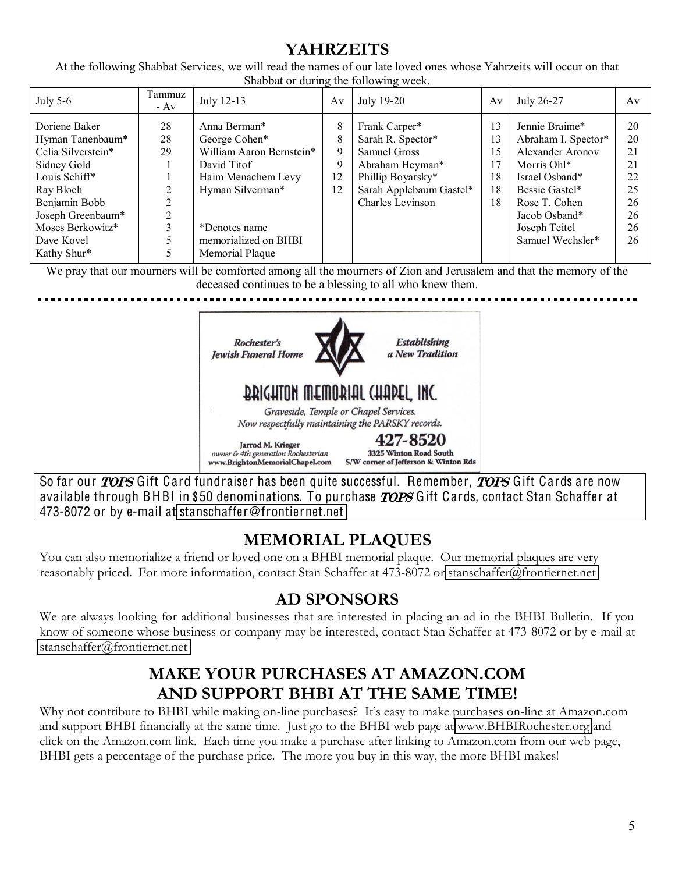#### **YAHRZEITS**

At the following Shabbat Services, we will read the names of our late loved ones whose Yahrzeits will occur on that Shabbat or during the following week.

| July $5-6$                                                                                                                                                                                  | Tammuz<br>$- Av$    | July 12-13                                                                                                                                                                     | Av                           | July 19-20                                                                                                                                | Av                                     | July 26-27                                                                                                                                                                          | Av                                                       |
|---------------------------------------------------------------------------------------------------------------------------------------------------------------------------------------------|---------------------|--------------------------------------------------------------------------------------------------------------------------------------------------------------------------------|------------------------------|-------------------------------------------------------------------------------------------------------------------------------------------|----------------------------------------|-------------------------------------------------------------------------------------------------------------------------------------------------------------------------------------|----------------------------------------------------------|
| Doriene Baker<br>Hyman Tanenbaum*<br>Celia Silverstein*<br>Sidney Gold<br>Louis Schiff*<br>Ray Bloch<br>Benjamin Bobb<br>Joseph Greenbaum*<br>Moses Berkowitz*<br>Dave Kovel<br>Kathy Shur* | 28<br>28<br>29<br>↑ | Anna Berman*<br>George Cohen*<br>William Aaron Bernstein*<br>David Titof<br>Haim Menachem Levy<br>Hyman Silverman*<br>*Denotes name<br>memorialized on BHBI<br>Memorial Plaque | 8<br>8<br>9<br>9<br>12<br>12 | Frank Carper*<br>Sarah R. Spector*<br>Samuel Gross<br>Abraham Heyman*<br>Phillip Boyarsky*<br>Sarah Applebaum Gastel*<br>Charles Levinson | 13<br>13<br>15<br>17<br>18<br>18<br>18 | Jennie Braime*<br>Abraham I. Spector*<br>Alexander Aronov<br>Morris Ohl*<br>Israel Osband*<br>Bessie Gastel*<br>Rose T. Cohen<br>Jacob Osband*<br>Joseph Teitel<br>Samuel Wechsler* | 20<br>20<br>21<br>21<br>22<br>25<br>26<br>26<br>26<br>26 |

We pray that our mourners will be comforted among all the mourners of Zion and Jerusalem and that the memory of the deceased continues to be a blessing to all who knew them.



So far our *TOPS* Gift Card fundraiser has been quite successful. Remember, *TOPS* Gift Cards are now available through BHBI in \$50 denominations. To purchase TOPS Gift Cards, contact Stan Schaffer at 473-8072 or by e-mail at stanschaffe[r@fronti](mailto:stanschaffer@frontiernet.net)ernet.net

## **MEMORIAL PLAQUES**

You can also memorialize a friend or loved one on a BHBI memorial plaque. Our memorial plaques are very reasonably priced. For more information, contact Stan Schaffer at 473-8072 or [stanschaffer@frontiernet.net](mailto:stanschaffer@frontiernet.net)

## **AD SPONSORS**

We are always looking for additional businesses that are interested in placing an ad in the BHBI Bulletin. If you know of someone whose business or company may be interested, contact Stan Schaffer at 473-8072 or by e-mail at [stanschaffer@frontiernet.net](mailto:stanschaffer@frontiernet.net)

#### **MAKE YOUR PURCHASES AT AMAZON.COM AND SUPPORT BHBI AT THE SAME TIME!**

Why not contribute to BHBI while making on-line purchases? It's easy to make purchases on-line at Amazon.com and support BHBI financially at the same time. Just go to the BHBI web page at [www.BHBIRochester.org](http://www.bhbirochester.org/) and click on the Amazon.com link. Each time you make a purchase after linking to Amazon.com from our web page, BHBI gets a percentage of the purchase price. The more you buy in this way, the more BHBI makes!